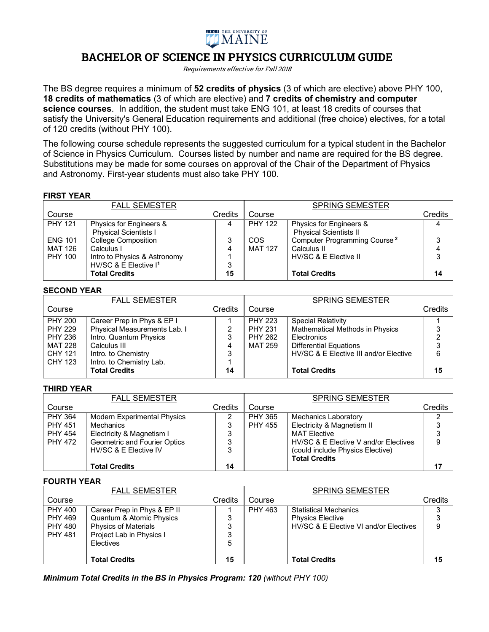

# **BACHELOR OF SCIENCE IN PHYSICS CURRICULUM GUIDE**

Requirements effective for Fall 2018

The BS degree requires a minimum of **52 credits of physics** (3 of which are elective) above PHY 100, **18 credits of mathematics** (3 of which are elective) and **7 credits of chemistry and computer science courses**. In addition, the student must take ENG 101, at least 18 credits of courses that satisfy the University's General Education requirements and additional (free choice) electives, for a total of 120 credits (without PHY 100).

The following course schedule represents the suggested curriculum for a typical student in the Bachelor of Science in Physics Curriculum. Courses listed by number and name are required for the BS degree. Substitutions may be made for some courses on approval of the Chair of the Department of Physics and Astronomy. First-year students must also take PHY 100.

## **FIRST YEAR**

|                           | <b>FALL SEMESTER</b>                                      |         |                              | <b>SPRING SEMESTER</b>                                   |         |
|---------------------------|-----------------------------------------------------------|---------|------------------------------|----------------------------------------------------------|---------|
| Course                    |                                                           | Credits | Course                       |                                                          | Credits |
| <b>PHY 121</b>            | Physics for Engineers &<br><b>Physical Scientists I</b>   | 4       | <b>PHY 122</b>               | Physics for Engineers &<br><b>Physical Scientists II</b> | 4       |
| <b>ENG 101</b><br>MAT 126 | <b>College Composition</b><br>Calculus I                  | 3<br>4  | <b>COS</b><br><b>MAT 127</b> | Computer Programming Course <sup>2</sup><br>Calculus II  | 3       |
| <b>PHY 100</b>            | Intro to Physics & Astronomy                              |         |                              | HV/SC & E Elective II                                    | 3       |
|                           | HV/SC & E Elective I <sup>1</sup><br><b>Total Credits</b> | 3<br>15 |                              | <b>Total Credits</b>                                     | 14      |

#### **SECOND YEAR**

|                | <b>FALL SEMESTER</b>         |                |                | <b>SPRING SEMESTER</b>                 |                |
|----------------|------------------------------|----------------|----------------|----------------------------------------|----------------|
| Course         |                              | <b>Credits</b> | Course         |                                        | Credits        |
| <b>PHY 200</b> | Career Prep in Phys & EP I   |                | <b>PHY 223</b> | <b>Special Relativity</b>              |                |
| <b>PHY 229</b> | Physical Measurements Lab. I | 2              | <b>PHY 231</b> | Mathematical Methods in Physics        | 3              |
| <b>PHY 236</b> | Intro. Quantum Physics       | 3              | <b>PHY 262</b> | Electronics                            | $\overline{2}$ |
| <b>MAT 228</b> | Calculus III                 | 4              | <b>MAT 259</b> | <b>Differential Equations</b>          | 3              |
| CHY 121        | Intro. to Chemistry          | 3              |                | HV/SC & E Elective III and/or Elective | 6              |
| CHY 123        | Intro. to Chemistry Lab.     |                |                |                                        |                |
|                | <b>Total Credits</b>         | 14             |                | <b>Total Credits</b>                   | 15             |

## **THIRD YEAR**

|                | <b>FALL SEMESTER</b>               |                |                | <b>SPRING SEMESTER</b>                |         |
|----------------|------------------------------------|----------------|----------------|---------------------------------------|---------|
| Course         |                                    | <b>Credits</b> | Course         |                                       | Credits |
| <b>PHY 364</b> | <b>Modern Experimental Physics</b> | ⌒              | <b>PHY 365</b> | <b>Mechanics Laboratory</b>           | ◠       |
| <b>PHY 451</b> | Mechanics                          | 3              | <b>PHY 455</b> | Electricity & Magnetism II            |         |
| <b>PHY 454</b> | Electricity & Magnetism I          | 3              |                | <b>MAT Flective</b>                   |         |
| <b>PHY 472</b> | Geometric and Fourier Optics       | 3              |                | HV/SC & E Elective V and/or Electives | 9       |
|                | HV/SC & E Elective IV              | 3              |                | (could include Physics Elective)      |         |
|                |                                    |                |                | <b>Total Credits</b>                  |         |
|                | <b>Total Credits</b>               | 14             |                |                                       |         |

## **FOURTH YEAR**

|                | <b>FALL SEMESTER</b>        |                |                | <b>SPRING SEMESTER</b>                 |         |
|----------------|-----------------------------|----------------|----------------|----------------------------------------|---------|
| Course         |                             | <b>Credits</b> | Course         |                                        | Credits |
| <b>PHY 400</b> | Career Prep in Phys & EP II |                | <b>PHY 463</b> | <b>Statistical Mechanics</b>           |         |
| <b>PHY 469</b> | Quantum & Atomic Physics    | 3              |                | <b>Physics Elective</b>                |         |
| <b>PHY 480</b> | <b>Physics of Materials</b> | 3              |                | HV/SC & E Elective VI and/or Electives | 9       |
| <b>PHY 481</b> | Project Lab in Physics I    | 3              |                |                                        |         |
|                | Electives                   | 5              |                |                                        |         |
|                |                             |                |                |                                        |         |
|                | <b>Total Credits</b>        | 15             |                | <b>Total Credits</b>                   | 15      |

*Minimum Total Credits in the BS in Physics Program: 120 (without PHY 100)*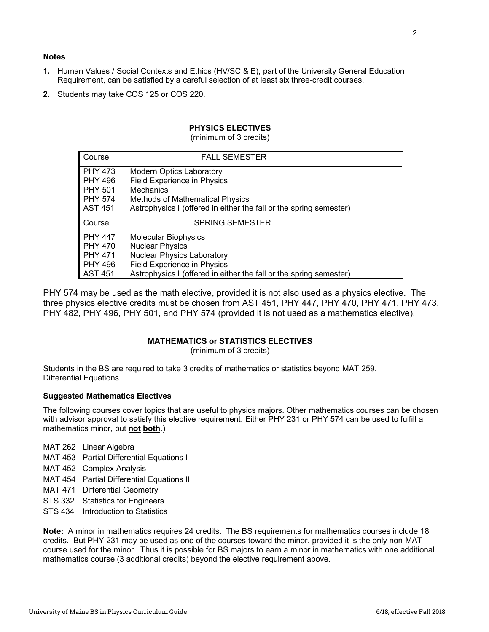## **Notes**

- **1.** Human Values / Social Contexts and Ethics (HV/SC & E), part of the University General Education Requirement, can be satisfied by a careful selection of at least six three-credit courses.
- **2.** Students may take COS 125 or COS 220.

## **PHYSICS ELECTIVES**

(minimum of 3 credits)

| Course         | <b>FALL SEMESTER</b>                                               |
|----------------|--------------------------------------------------------------------|
| <b>PHY 473</b> | <b>Modern Optics Laboratory</b>                                    |
| <b>PHY 496</b> | <b>Field Experience in Physics</b>                                 |
| <b>PHY 501</b> | <b>Mechanics</b>                                                   |
| <b>PHY 574</b> | <b>Methods of Mathematical Physics</b>                             |
| <b>AST 451</b> | Astrophysics I (offered in either the fall or the spring semester) |
|                |                                                                    |
| Course         | <b>SPRING SEMESTER</b>                                             |
| <b>PHY 447</b> | <b>Molecular Biophysics</b>                                        |
| <b>PHY 470</b> | <b>Nuclear Physics</b>                                             |
| <b>PHY 471</b> | <b>Nuclear Physics Laboratory</b>                                  |
| <b>PHY 496</b> | <b>Field Experience in Physics</b>                                 |

PHY 574 may be used as the math elective, provided it is not also used as a physics elective. The three physics elective credits must be chosen from AST 451, PHY 447, PHY 470, PHY 471, PHY 473, PHY 482, PHY 496, PHY 501, and PHY 574 (provided it is not used as a mathematics elective).

## **MATHEMATICS or STATISTICS ELECTIVES**

(minimum of 3 credits)

Students in the BS are required to take 3 credits of mathematics or statistics beyond MAT 259, Differential Equations.

## **Suggested Mathematics Electives**

The following courses cover topics that are useful to physics majors. Other mathematics courses can be chosen with advisor approval to satisfy this elective requirement. Either PHY 231 or PHY 574 can be used to fulfill a mathematics minor, but **not both**.)

- MAT 262 Linear Algebra
- MAT 453 Partial Differential Equations I
- MAT 452 Complex Analysis
- MAT 454 Partial Differential Equations II
- MAT 471 Differential Geometry
- STS 332 Statistics for Engineers
- STS 434 Introduction to Statistics

**Note:** A minor in mathematics requires 24 credits. The BS requirements for mathematics courses include 18 credits. But PHY 231 may be used as one of the courses toward the minor, provided it is the only non-MAT course used for the minor. Thus it is possible for BS majors to earn a minor in mathematics with one additional mathematics course (3 additional credits) beyond the elective requirement above.